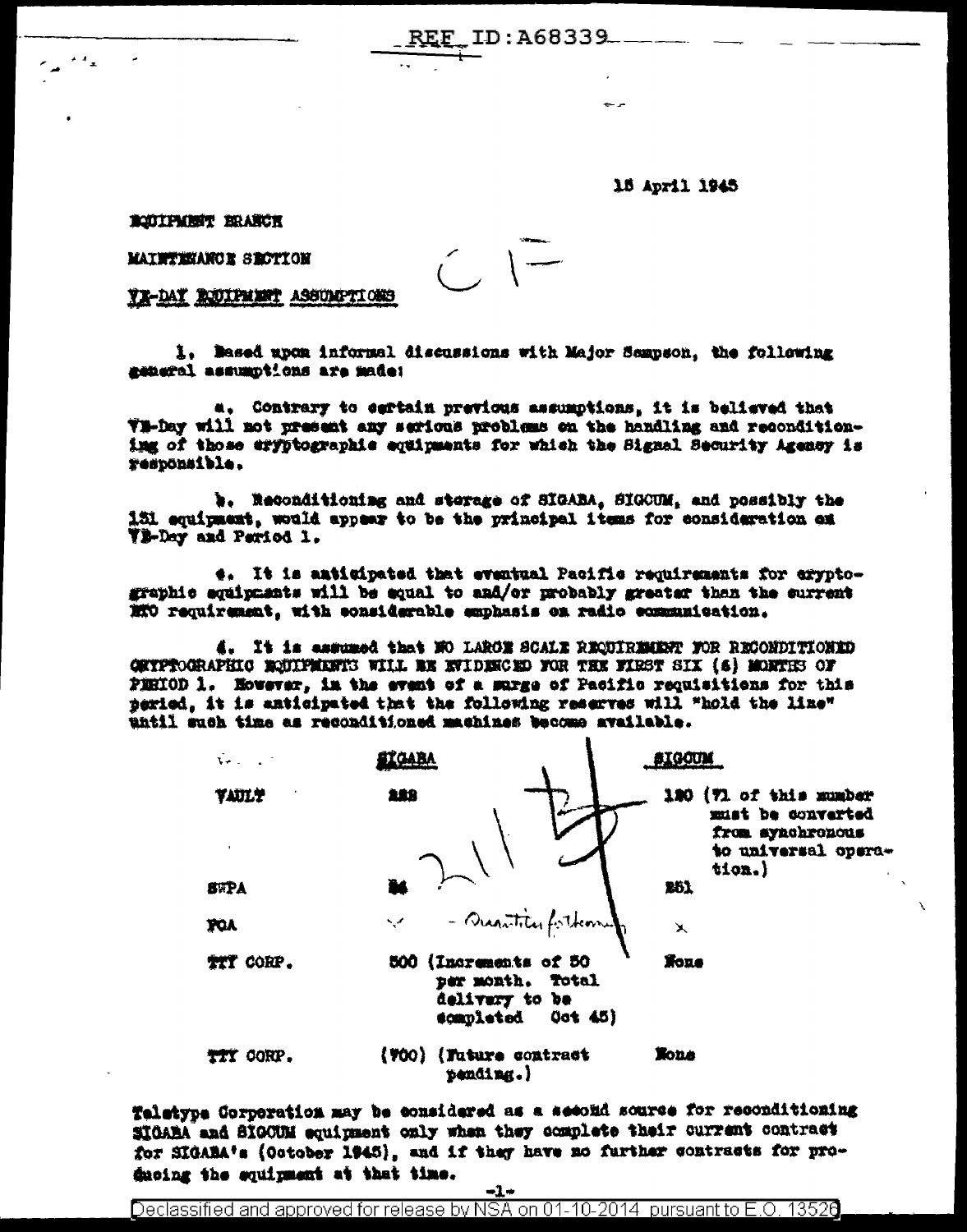ID:A68339

15 April 1945

BODIPMENT ERANGE

MAINTENANCE SECTION

YE-DAY RECIPRENT ASSUMPTIONS

1. Mased upon informal discussions with Major Sempson, the following mename are anoidused fotostes

 $C =$ 

a. Contrary to esrtain previous assumptions. it is believed that Wi-bay will not present any serious problems on the handling and reconditioning of those eryptographic equipments for which the Signal Security Agency is respönsible.

b. Reconditioning and sterage of SIGABA, SIGCUM, and possibly the 151 equipment, would appear to be the principal items for consideration on **TE-Day and Period 1.** 

e. It is amticipated that eventual Pacific requirements for cryptographic equipments will be equal to and/or probably greater than the surrent MTO requirement, with considerable emphasis on radio communication.

4. It is essumed that NO LARCE SCALE REQUIREMENT FOR RECONDITIONED GETPROGRAPHIC BOULFMANTS WILL BE EVIDENCED FOR THE FIRST SIX (6) MORTHS OF PERIOD 1. However, in the event of a surge of Pacific requisitions for this peried. it is anticipated that the following reserves will "hold the line" until such time as reconditioned machines become available.

| $\mathbf{v}$ . |                                        |                                                         | <b>AIGOUM</b>         |                                                                                        |
|----------------|----------------------------------------|---------------------------------------------------------|-----------------------|----------------------------------------------------------------------------------------|
| <b>VAULY</b>   | 288                                    |                                                         |                       | 180 (7) of this mumber<br>must be converted<br>from synchronous<br>to universal opera- |
| <b>SWPA</b>    |                                        |                                                         | tion.)<br>261         |                                                                                        |
| <b>YOA</b>     |                                        | V - Quantitas forthomy                                  | $\blacktriangleright$ |                                                                                        |
| TIT CORP.      | 500 (Increments of 50                  | per month. Total<br>delivery to be<br>completed Oct 45) | <b>None</b>           |                                                                                        |
| TTY CORP.      | (VOO) (Future contract<br>$p$ ending.) |                                                         | <b>None</b>           |                                                                                        |

Teletype Corporation may be considered as a second source for reconditioning SIGARA and SIGCUM equipment only when they complete their current contract for SIGABA's (October 1945), and if they have no further contracts for producing the squirment at that time.

-1+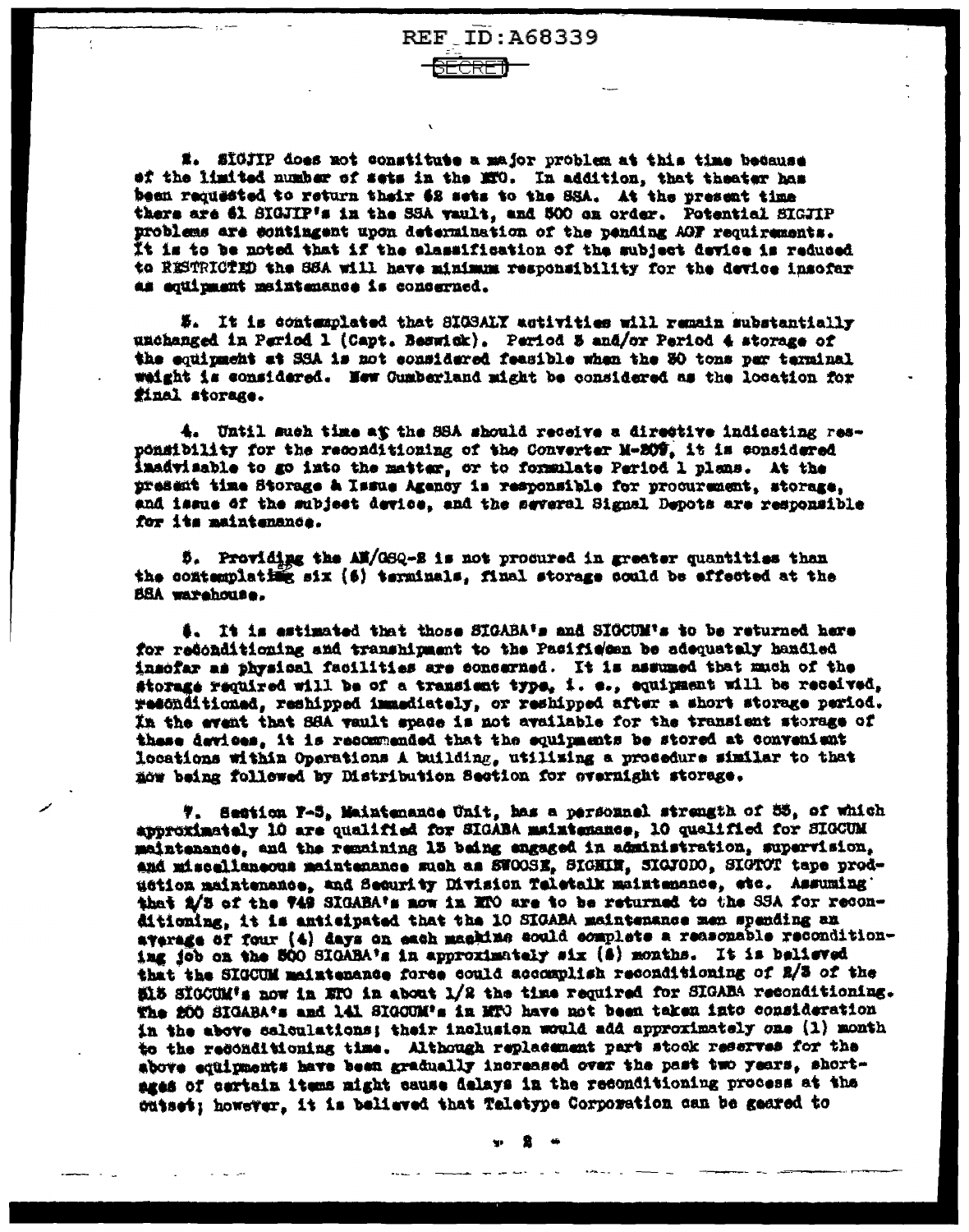**REF ID: A68339** 

E. SIGJIP does not constitute a major problem at this time because ef the limited number of sets in the MTO. In addition, that theater has bean requested to return thair 62 sets to the SSA. At the present time there are 61 SIGJIP's in the SSA vault, and 500 on order. Potential SIGJIP problems are contingent upon determination of the pending AGF requirements. It is to be noted that if the elassification of the subject device is reduced to RESTRICTED the SSA will have minimum responsibility for the device insofar as equipment maintenance is concerned.

#. It is contemplated that SIGSALY activities will remain substantially unchanged in Pariod 1 (Capt. Beswick). Pariod 5 and/or Period 4 storage of the equipment at SSA is not eonsidered feasible when the 30 tons per terminal weight is considered. Hew Cumberland might be considered as the location for final storage.

4. Until much time at the SSA should recoive a directive indicating responsibility for the reconditioning of the Converter M-209, it is considered inadvisable to go into the matter, or to formulate Period 1 plans. At the present time Storage & Issue Agency is responsible for procurement, storage, and issue of the subject device, and the several Signal Depots are responsible for its maintenance.

5. Providing the AM/GSQ-S is not procured in greater quantities than the contemplating six (6) terminals, final storage could be effected at the BSA warehouse.

\$. It is estimated that those SIGABA's and SIGCUM's to be returned here for redonditioning and transhipment to the Pacifie'ean be adequately handled insofar as physical facilities are concerned. It is assumed that much of the storage required will be of a transient type, i. e., equipment will be received, resonditioned, reshipped immediately, or reshipped after a short storage period. In the event that SSA vault space is not available for the transient storage of these devices. it is recommended that the equipments be stored at convenient locations within Operations A building, utilizing a procedure similar to that now being followed by Distribution Section for evernight storage.

7. Section F-5, Maintenance Unit, has a personnel strength of 55, of which approximately 10 are qualified for SIGABA maintenance, 10 qualified for SIGCUM maintenance, and the remaining 13 being engaged in administration, supervision, and miscallaneous maintenance such as SWOOSE, SIGHIN, SIGFODO, SIGTOT tape production maintenance, and Security Division Teletalk maintenance, etc. Assuming' that 2/3 of the 749 SIGABA's now in MPO are to be returned to the SSA for reconditioning, it is antieipated that the 10 SIGABA maintenance men spending an average of four (4) days on each machine could complete a reasonable reconditioning job on the 500 SIGABA's in approximately six (8) months. It is believed that the SIGCUM meintenance force could accomplish reconditioning of 2/3 of the 515 SIGCUM's now in ETO in about 1/2 the time required for SIGABA reconditioning. The 200 SIGABA's and 141 SIGOUM's in MTO have not been taken into consideration in the above calculations; their inclusion would add approximately one (1) month to the reconditioning time. Although replacement part stock reserves for the above equipments have been gradually increased over the past two years, shortages of certain items might cause delays in the reconditioning process at the cutset; however, it is believed that Teletype Corporation can be geared to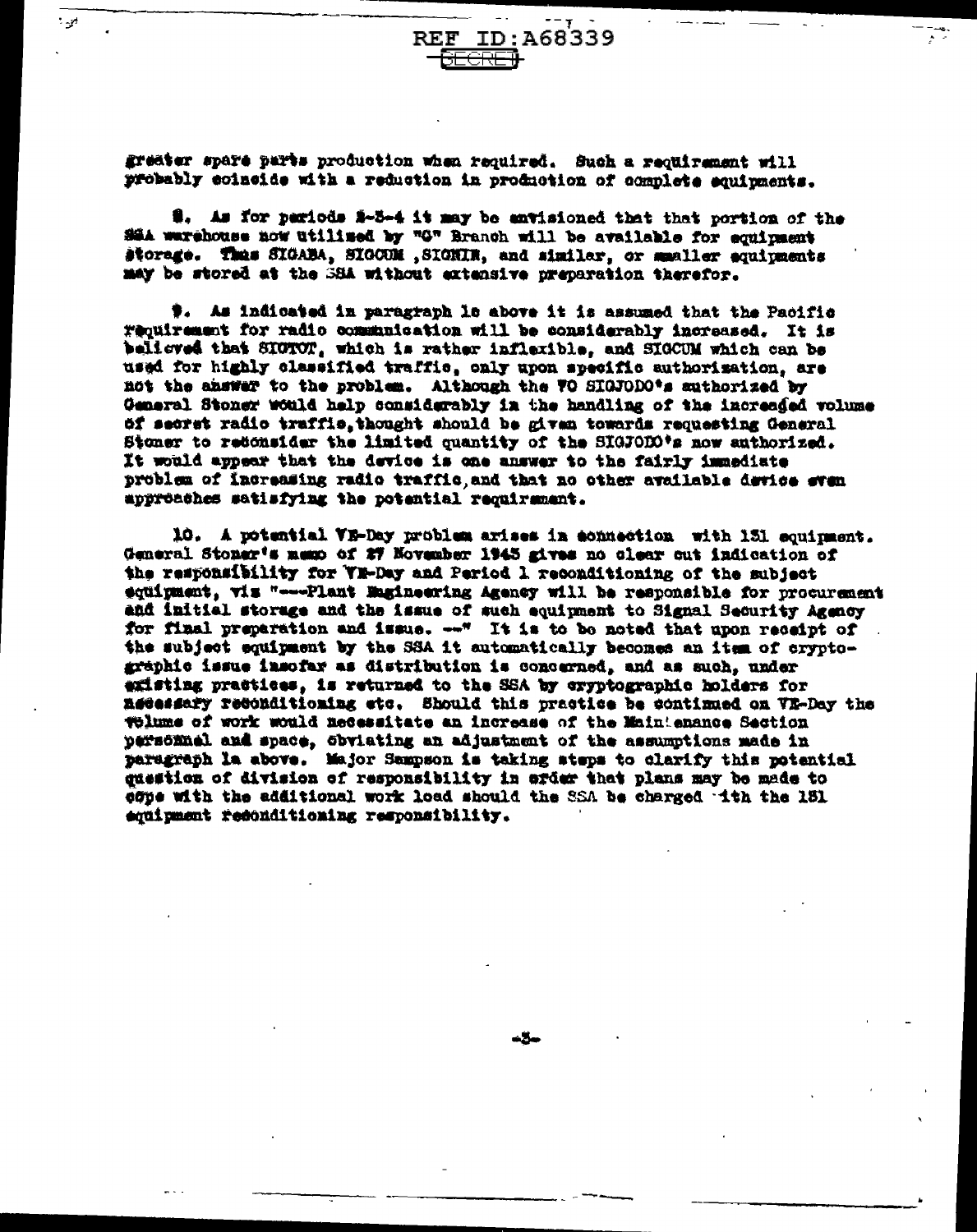ID: A68339  $\mathbf{REF}$ 

greater spare parts production when required. Such a requirement will probably coincide with a reduction in production of complete equipments.

ان - "

\$. As for pariods \$-5-4 it may be antisioned that that portion of the SSA warehouse now utilized by "G" Branch will be available for equipment storage. Thas SIGABA, SIGCOM , SIGNIN, and similar, or maaller equipments may be stored at the SSA without extensive preparation therefor.

#. As indicated in paragraph le above it is assumed that the Pacific requirement for radio communication will be considerably increased. It is believed that SICTOT, which is rather inflexible, and SIGCUM which can be used for highly classified traffic, only upon specific authorization, are not the answer to the problem. Although the WO SIGJODO's suthorized by General Stoner would help considerably in the handling of the increased volume ti secret radio traffic. thought should be given towards requesting General Stoner to redonsider the limited quantity of the SIGJODO\*s now authorized. It would appear that the device is one answer to the fairly immediate problem of increasing radio traffic, and that no other available device even approaches satisfying the potential requirement.

10. A potential VE-Day problem arises in achusction with 131 squirment. General Stoner's memo of 27 November 1945 gives no clear out indication of the responsibility for WE-Day and Period 1 reconditioning of the subject equipment, viz "---Plant Engineering Agency will be responsible for procurement and initial storage and the issue of such equipment to Signal Security Agency for final preparation and issue. --\* It is to be noted that upon receipt of the subject equipment by the SSA it automatically becomes an item of cryptographic issue insofar as distribution is concerned, and as such, under existing practices, is returned to the SSA by cryptographic holders for asessary reconditioning etc. Should this practice be continued on VE-Day the Tolume of work would necessitate an increase of the Maintenance Section personnel and space, obviating an adjustment of the assumptions made in paragraph la above. Major Sampson is taking steps to clarify this potential guestion of division of responsibility in afder that plans may be made to edue with the additional work load should the SSA be charged tth the 181 squipment resonditioning responsibility.